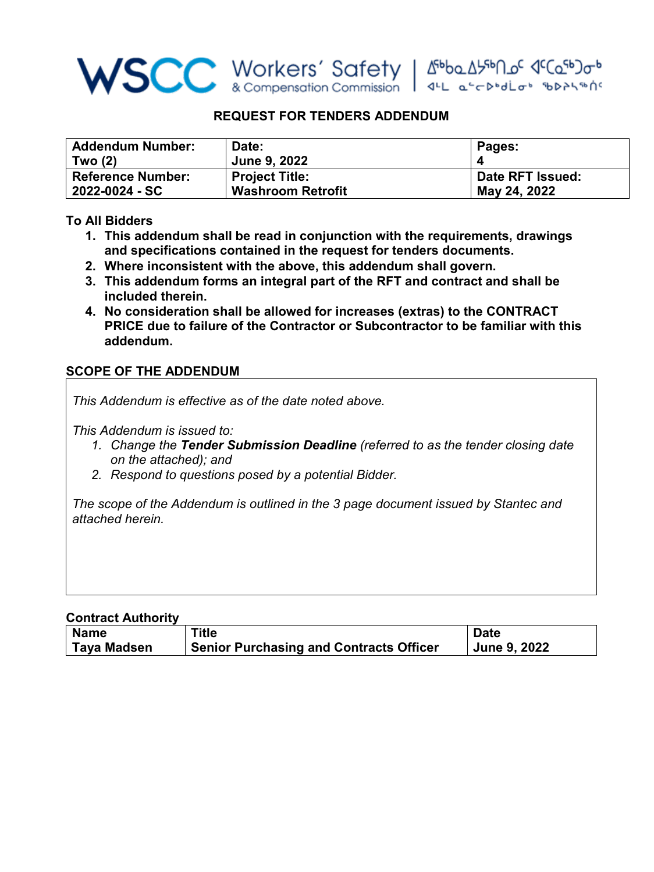

## **REQUEST FOR TENDERS ADDENDUM**

| <b>Addendum Number:</b>  | Date:                    | Pages:           |
|--------------------------|--------------------------|------------------|
| Two (2)                  | <b>June 9, 2022</b>      |                  |
| <b>Reference Number:</b> | <b>Project Title:</b>    | Date RFT Issued: |
| 2022-0024 - SC           | <b>Washroom Retrofit</b> | May 24, 2022     |

# **To All Bidders**

- **1. This addendum shall be read in conjunction with the requirements, drawings and specifications contained in the request for tenders documents.**
- **2. Where inconsistent with the above, this addendum shall govern.**
- **3. This addendum forms an integral part of the RFT and contract and shall be included therein.**
- **4. No consideration shall be allowed for increases (extras) to the CONTRACT PRICE due to failure of the Contractor or Subcontractor to be familiar with this addendum.**

### **SCOPE OF THE ADDENDUM**

*This Addendum is effective as of the date noted above.* 

*This Addendum is issued to:*

- *1. Change the Tender Submission Deadline (referred to as the tender closing date on the attached); and*
- *2. Respond to questions posed by a potential Bidder.*

*The scope of the Addendum is outlined in the 3 page document issued by Stantec and attached herein.* 

### **Contract Authority**

| <b>Name</b>        | Title                                          | <b>Date</b>  |
|--------------------|------------------------------------------------|--------------|
| <b>Taya Madsen</b> | <b>Senior Purchasing and Contracts Officer</b> | June 9, 2022 |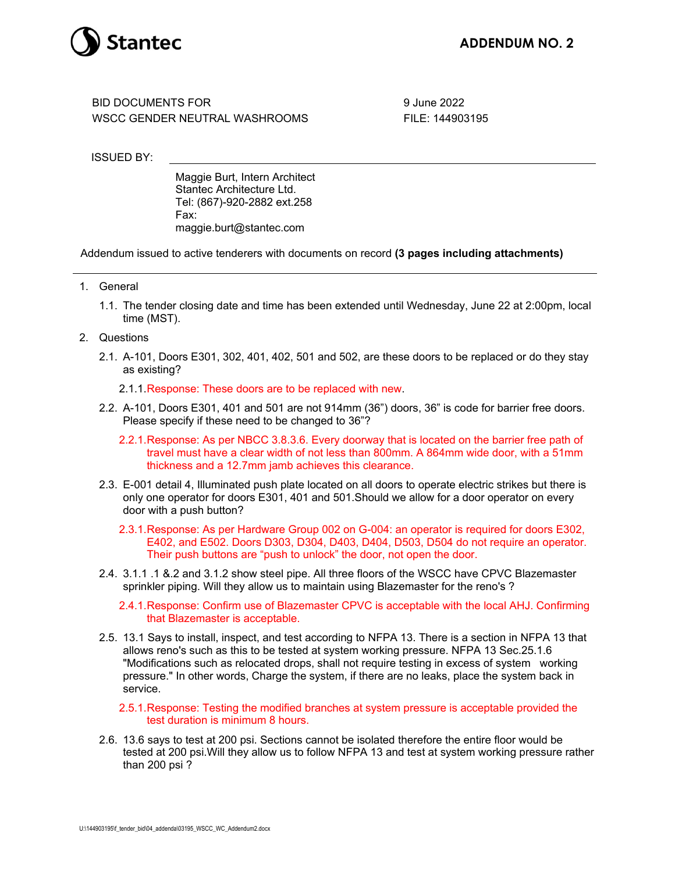

BID DOCUMENTS FOR WSCC GENDER NEUTRAL WASHROOMS 9 June 2022 FILE: 144903195

ISSUED BY:

Maggie Burt, Intern Architect Stantec Architecture Ltd. Tel: (867)-920-2882 ext.258 Fax: maggie.burt@stantec.com

Addendum issued to active tenderers with documents on record **(3 pages including attachments)**

- 1. General
	- 1.1. The tender closing date and time has been extended until Wednesday, June 22 at 2:00pm, local time (MST).
- 2. Questions
	- 2.1. A-101, Doors E301, 302, 401, 402, 501 and 502, are these doors to be replaced or do they stay as existing?
		- 2.1.1.Response: These doors are to be replaced with new.
	- 2.2. A-101, Doors E301, 401 and 501 are not 914mm (36") doors, 36" is code for barrier free doors. Please specify if these need to be changed to 36"?
		- 2.2.1.Response: As per NBCC 3.8.3.6. Every doorway that is located on the barrier free path of travel must have a clear width of not less than 800mm. A 864mm wide door, with a 51mm thickness and a 12.7mm jamb achieves this clearance.
	- 2.3. E-001 detail 4, Illuminated push plate located on all doors to operate electric strikes but there is only one operator for doors E301, 401 and 501.Should we allow for a door operator on every door with a push button?
		- 2.3.1.Response: As per Hardware Group 002 on G-004: an operator is required for doors E302, E402, and E502. Doors D303, D304, D403, D404, D503, D504 do not require an operator. Their push buttons are "push to unlock" the door, not open the door.
	- 2.4. 3.1.1 .1 &.2 and 3.1.2 show steel pipe. All three floors of the WSCC have CPVC Blazemaster sprinkler piping. Will they allow us to maintain using Blazemaster for the reno's ?
		- 2.4.1.Response: Confirm use of Blazemaster CPVC is acceptable with the local AHJ. Confirming that Blazemaster is acceptable.
	- 2.5. 13.1 Says to install, inspect, and test according to NFPA 13. There is a section in NFPA 13 that allows reno's such as this to be tested at system working pressure. NFPA 13 Sec.25.1.6 "Modifications such as relocated drops, shall not require testing in excess of system working pressure." In other words, Charge the system, if there are no leaks, place the system back in service.
		- 2.5.1.Response: Testing the modified branches at system pressure is acceptable provided the test duration is minimum 8 hours.
	- 2.6. 13.6 says to test at 200 psi. Sections cannot be isolated therefore the entire floor would be tested at 200 psi.Will they allow us to follow NFPA 13 and test at system working pressure rather than 200 psi ?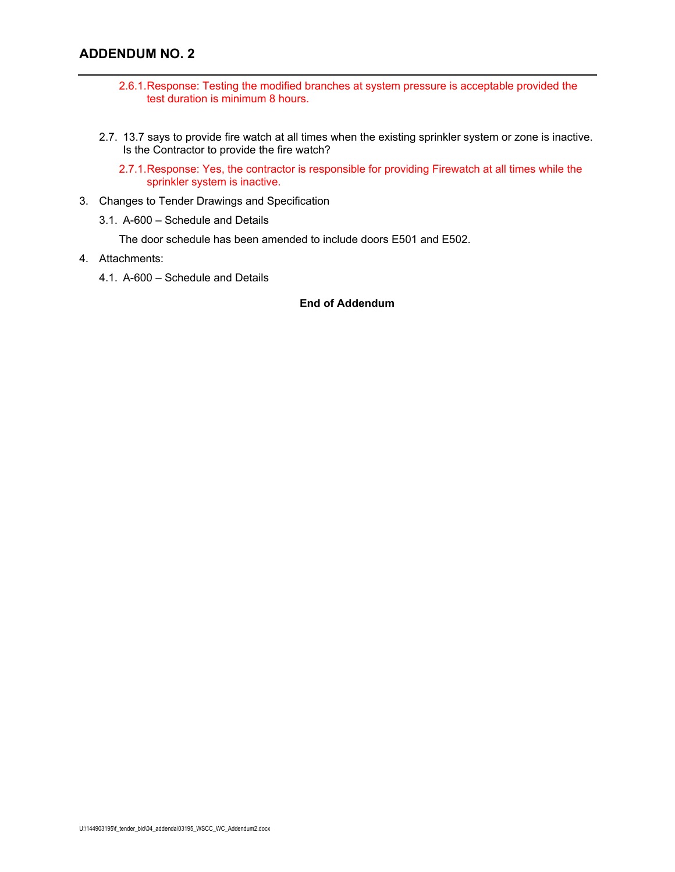## **ADDENDUM NO. 2**

- 2.6.1.Response: Testing the modified branches at system pressure is acceptable provided the test duration is minimum 8 hours.
- 2.7. 13.7 says to provide fire watch at all times when the existing sprinkler system or zone is inactive. Is the Contractor to provide the fire watch?
	- 2.7.1.Response: Yes, the contractor is responsible for providing Firewatch at all times while the sprinkler system is inactive.
- 3. Changes to Tender Drawings and Specification
	- 3.1. A-600 Schedule and Details

The door schedule has been amended to include doors E501 and E502.

- 4. Attachments:
	- 4.1. A-600 Schedule and Details

### **End of Addendum**